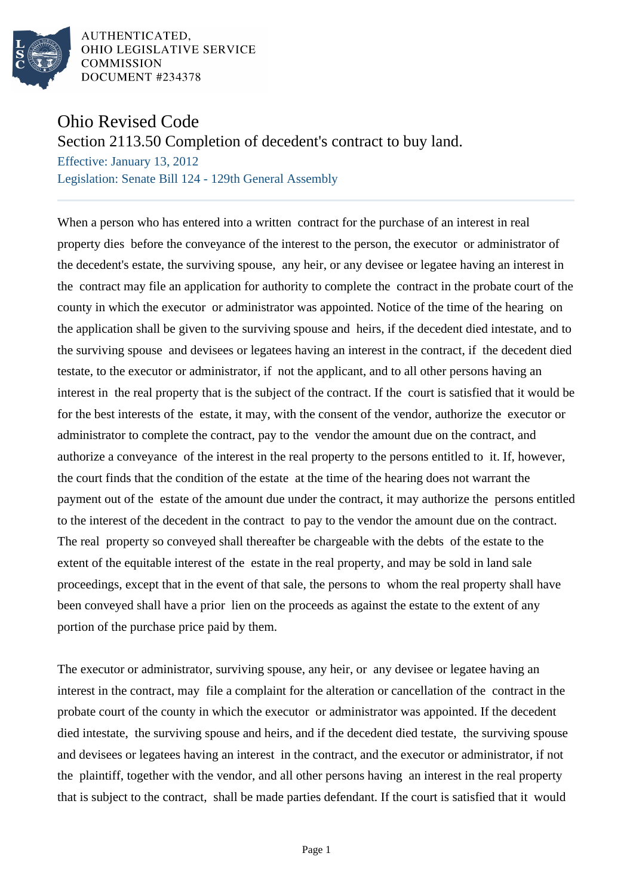

AUTHENTICATED. OHIO LEGISLATIVE SERVICE **COMMISSION** DOCUMENT #234378

## Ohio Revised Code

Section 2113.50 Completion of decedent's contract to buy land.

Effective: January 13, 2012 Legislation: Senate Bill 124 - 129th General Assembly

When a person who has entered into a written contract for the purchase of an interest in real property dies before the conveyance of the interest to the person, the executor or administrator of the decedent's estate, the surviving spouse, any heir, or any devisee or legatee having an interest in the contract may file an application for authority to complete the contract in the probate court of the county in which the executor or administrator was appointed. Notice of the time of the hearing on the application shall be given to the surviving spouse and heirs, if the decedent died intestate, and to the surviving spouse and devisees or legatees having an interest in the contract, if the decedent died testate, to the executor or administrator, if not the applicant, and to all other persons having an interest in the real property that is the subject of the contract. If the court is satisfied that it would be for the best interests of the estate, it may, with the consent of the vendor, authorize the executor or administrator to complete the contract, pay to the vendor the amount due on the contract, and authorize a conveyance of the interest in the real property to the persons entitled to it. If, however, the court finds that the condition of the estate at the time of the hearing does not warrant the payment out of the estate of the amount due under the contract, it may authorize the persons entitled to the interest of the decedent in the contract to pay to the vendor the amount due on the contract. The real property so conveyed shall thereafter be chargeable with the debts of the estate to the extent of the equitable interest of the estate in the real property, and may be sold in land sale proceedings, except that in the event of that sale, the persons to whom the real property shall have been conveyed shall have a prior lien on the proceeds as against the estate to the extent of any portion of the purchase price paid by them.

The executor or administrator, surviving spouse, any heir, or any devisee or legatee having an interest in the contract, may file a complaint for the alteration or cancellation of the contract in the probate court of the county in which the executor or administrator was appointed. If the decedent died intestate, the surviving spouse and heirs, and if the decedent died testate, the surviving spouse and devisees or legatees having an interest in the contract, and the executor or administrator, if not the plaintiff, together with the vendor, and all other persons having an interest in the real property that is subject to the contract, shall be made parties defendant. If the court is satisfied that it would